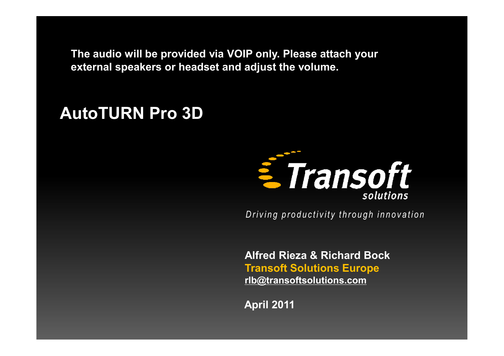**The audio will be provided via VOIP only. Please attach your external speakers or headset and adjust the volume.**

## **AutoTURN Pro 3D**



*Driving productivity through innovation* 

**Alfred Rieza & Richard Bock Transoft Solutions Europe [rlb@transoftsolutions.com](mailto:rlb@transoftsolutions.com)**

**April 2011**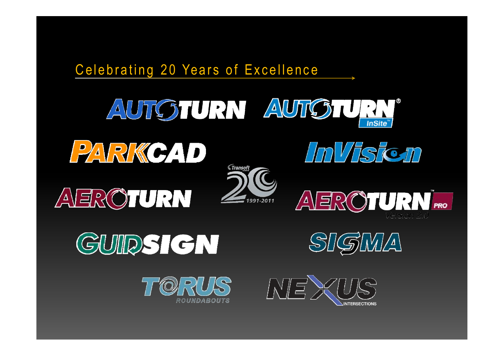









SIGMA







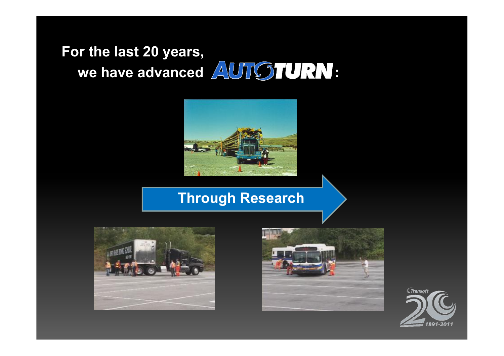# **For the last 20 years, we have advanced AUTGTURN:**



### **Through Research**





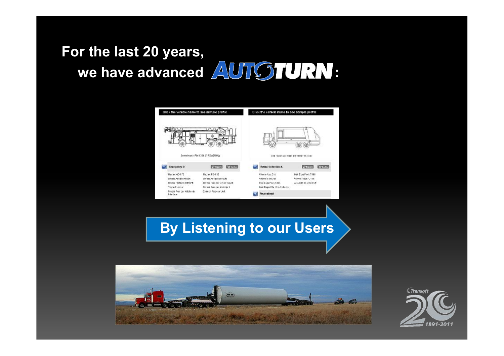# **For the last 20 years, we have advanced AUTOTURN:**



### **By Listening to our Users**



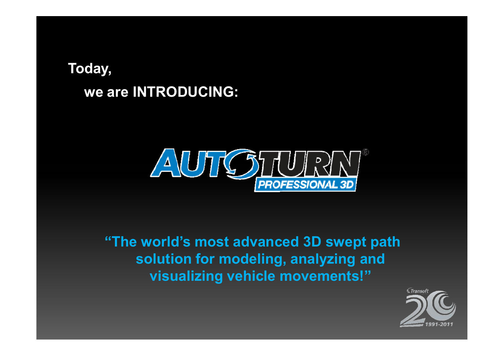## **Today, we are INTRODUCING:**



**"The world's most advanced 3D swept path solution for modeling, analyzing and visualizing vehicle movements!"**

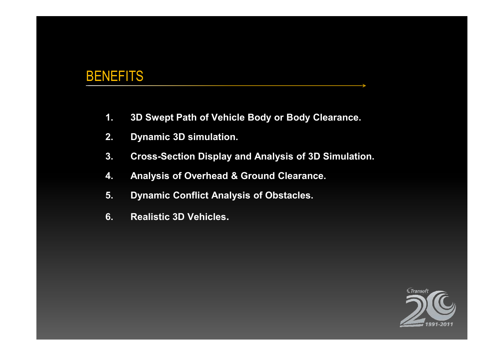#### **BENEFITS**

- **1. 3D Swept Path of Vehicle Body or Body Clearance.**
- **2. Dynamic 3D simulation.**
- **3. Cross-Section Display and Analysis of 3D Simulation.**
- **4. Analysis of Overhead & Ground Clearance.**
- **5. Dynamic Conflict Analysis of Obstacles.**
- **6. Realistic 3D Vehicles.**

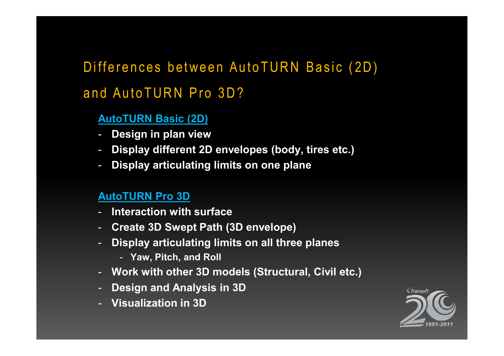# Differences between AutoTURN Basic (2D) and Auto TURN Pro 3D?

#### **AutoTURN Basic (2D)**

- **Design in plan view**
- **Display different 2D envelopes (body, tires etc.)**
- **Display articulating limits on one plane**

#### **AutoTURN Pro 3D**

- **Interaction with surface**
- **Create 3D Swept Path (3D envelope)**
- **Display articulating limits on all three planes** 
	- **Yaw, Pitch, and Roll**
- **Work with other 3D models (Structural, Civil etc.)**
- **Design and Analysis in 3D**
- **Visualization in 3D**

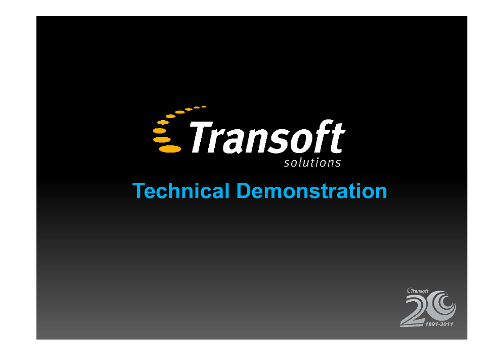

# **Technical Demonstration**

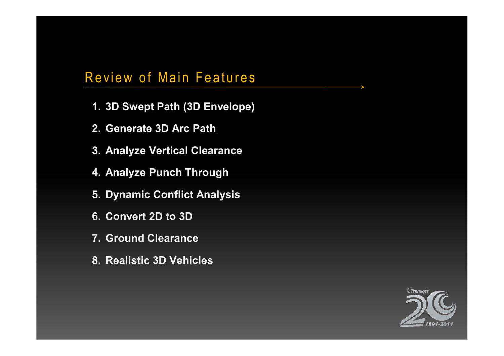### Review of Main Features

- **1. 3D Swept Path (3D Envelope)**
- **2. Generate 3D Arc Path**
- **3. Analyze Vertical Clearance**
- **4. Analyze Punch Through**
- **5. Dynamic Conflict Analysis**
- **6. Convert 2D to 3D**
- **7. Ground Clearance**
- **8. Realistic 3D Vehicles**

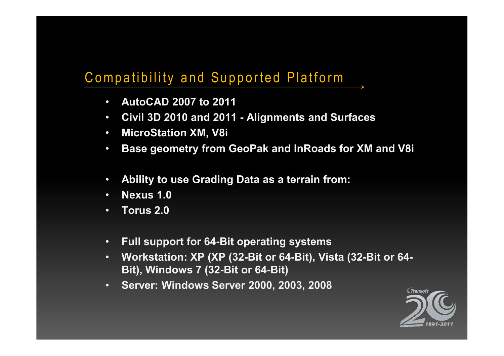## Compatibility and Supported Platform

- **AutoCAD 2007 to 2011**
- **Civil 3D 2010 and 2011 - Alignments and Surfaces**
- **MicroStation XM, V8i**
- **Base geometry from GeoPak and InRoads for XM and V8i**
- **Ability to use Grading Data as a terrain from:**
- **Nexus 1.0**
- **Torus 2.0**
- **Full support for 64-Bit operating systems**
- **Workstation: XP (XP (32-Bit or 64-Bit), Vista (32-Bit or 64- Bit), Windows 7 (32-Bit or 64-Bit)**
- **Server: Windows Server 2000, 2003, 2008**

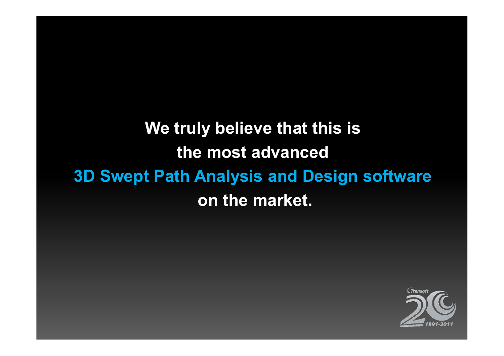# **We truly believe that this is the most advanced 3D Swept Path Analysis and Design software on the market.**